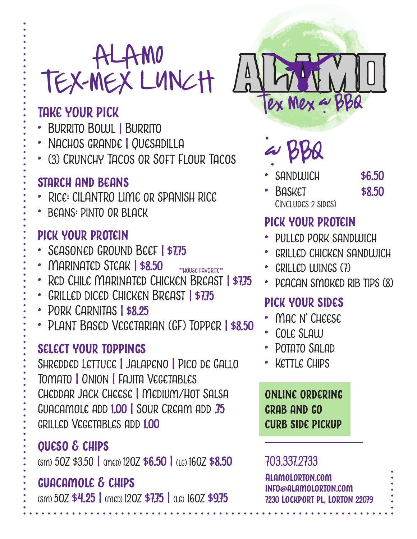## ALAMO TEX-MEX LUNCH

### **TAKE YOUR PICK**

- Burrito Bowl **|** Burrito
- Nachos grande **|** Quesadilla
- (3) CRUNCHY TACOS OR SOFT FLOUR TACOS

#### **starch and beans**

- Rice: CILANTRO LIME or SPANISH RICE
- beans: pinto or black

#### **pick your protein**

- Seasoned Ground Beef **<sup>|</sup> \$7.75**
- Marinated Steak **| \$8.50**
- Red Chile Marinated Chicken Breast **| \$7.75** \*\*house favorite\*\*
- Grilled diced Chicken Breast **| \$7.75**
- Pork Carnitas **| \$8.25**
- Plant Based Vegetarian (GF) Topper **| \$8.50**

#### **select your toppings**

Shredded Lettuce **|** Jalapeno **|** Pico de Gallo Tomato **|** Onion **|** Fajita Vegetables Cheddar Jack Cheese **|** Medium/Hot Salsa Guacamole add **1.00 |** Sour Cream add **.75** grilled Vegetables add **1.00**

#### **queso & chips**

(sm) 5oz \$3.50 **|** (med) 12oz **\$6.50 |** (lg) 16oz **\$8.50**

#### **guacamole & chips**

(sm) 5oz **\$4.25 |** (med) 12oz **\$7.75 |** (lg) 16oz **\$9.75**



& BBQ •

- sandwich **\$6.50**
- Basket **\$8.50** CIncludes 2 sides)

#### **pick your protein**

- •<br>• pulled pork sandwich
- grilled chicken sandwich
- • GRILLED WINGS (7)
- • PEACAN SMOKED RIB TIPS (8)

#### **pick your sides**

- •<br>• Mac n' Cheese
- Cole Slaw
- • POTATO SAI AD
- • KETTLE CHIPS

**online ordering grab and go curb side pickup**

#### 703.337.2733

**AlamoLorton.com info@alamolorton.com 7230 Lockport pl, Lorton 22079**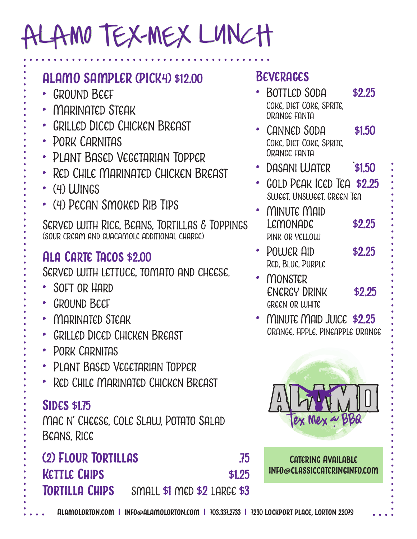## ALAMO TEX-MEX LUNCH

#### **ALAMO SAMPLER (PICK4) \$12.00**

- Ground Beef
- Marinated Steak
- GRILLED DICED CHICKEN BREAST
- Pork Carnitas
- Plant Based Vegetarian Topper
- Red Chile Marinated Chicken Breast
- (4) Wings
- (4) Pecan Smoked Rib Tips

Served with Rice, Beans, Tortillas & Toppings (sour cream and guacamole additional charge)

#### **Ala Carte Tacos \$2.00**

Served with lettuce, tomato and cheese.

- Soft or Hard
- Ground Beef
- Marinated Steak
- Grilled Diced Chicken Breast
- Pork Carnitas
- Plant Based Vegetarian Topper
- Red Chile Marinated Chicken Breast

#### **Sides \$1.75**

Mac n' Cheese, Cole Slaw, Potato Salad Beans, Rice

#### **(2) Flour Tortillas .75 Kettle Chips \$1.25 Tortilla Chips** small **\$1** med **\$2** large **\$3 Catering Available info@classiccateringinfo.com**

**Beverages**

- ا<br>•<br>• Bottled Soda **\$2.25** Coke, Diet Coke, Sprite, Orange fanta
- Canned Soda **\$1.50** Coke, Diet Coke, Sprite, Orange fanta
- Dasani Water `**\$1.50**
- Gold Peak Iced Tea **\$2.25** Sweet, Unsweet, Green Tea
- Minute Maid Lemonade **\$2.25** pink or yellow
- • POLLICR AID **\$2.25** Red, Blue, Purple
- **MONSTER** Energy Drink **\$2.25** green or white
- Minute Maid Juice **\$2.25**Orange, Apple, Pineapple Orange